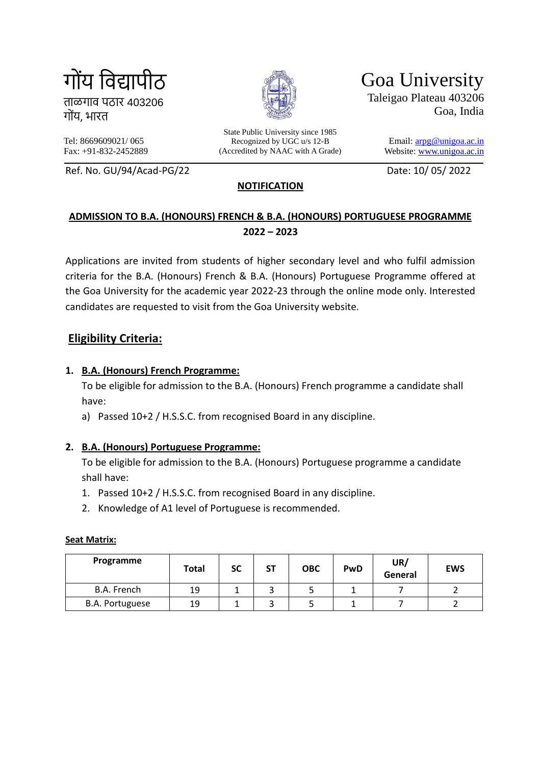गोंय विद्यापीठ

ताळगाि पठार 403206 गोंय, भारत

Fax: +91-832-2452889

Tel: 8669609021/ 065

State Public University since 1985 Recognized by UGC u/s 12-B (Accredited by NAAC with A Grade) Goa University Taleigao Plateau 403206 Goa, India

> Email: [arpg@unigoa.ac.in](mailto:arpg@unigoa.ac.in) Website: [www.unigoa.ac.in](http://www.unigoa.ac.in/)

Ref. No. GU/94/Acad-PG/22 Date: 10/ 05/ 2022

# **NOTIFICATION**

# **ADMISSION TO B.A. (HONOURS) FRENCH & B.A. (HONOURS) PORTUGUESE PROGRAMME 2022 – 2023**

Applications are invited from students of higher secondary level and who fulfil admission criteria for the B.A. (Honours) French & B.A. (Honours) Portuguese Programme offered at the Goa University for the academic year 2022-23 through the online mode only. Interested candidates are requested to visit from the Goa University website.

# **Eligibility Criteria:**

#### **1. B.A. (Honours) French Programme:**

To be eligible for admission to the B.A. (Honours) French programme a candidate shall have:

a) Passed 10+2 / H.S.S.C. from recognised Board in any discipline.

#### **2. B.A. (Honours) Portuguese Programme:**

To be eligible for admission to the B.A. (Honours) Portuguese programme a candidate shall have:

- 1. Passed 10+2 / H.S.S.C. from recognised Board in any discipline.
- 2. Knowledge of A1 level of Portuguese is recommended.

| Programme              | Total | SC | SΤ | <b>OBC</b> | PwD | UR/<br>General | <b>EWS</b> |
|------------------------|-------|----|----|------------|-----|----------------|------------|
| B.A. French            | 19    |    |    |            |     |                |            |
| <b>B.A. Portuguese</b> | 19    |    |    |            |     |                |            |

#### **Seat Matrix:**